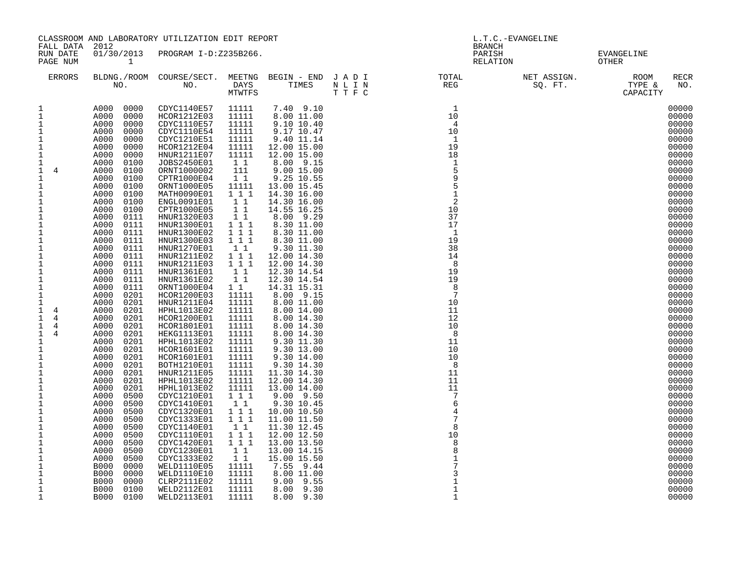| FALL DATA 2012                                                                                                                                                                                                                                                                                                                                                                                                                                                                                                                                                                                                                                                                                                                                                                  | CLASSROOM AND LABORATORY UTILIZATION EDIT REPORT                                                                                                                                                                                                                                                                                                                                                                                                                                                                                                                                                                                                                                                                        |                                                                                                                                                                                                                                                                                                                                                                                                                                                                                                                                                                                                                                                                                                                                                                                                            |                                                                                                                                                                                                                                                                                                                                                                                                                                             |                                                                                                                                                                                                                                                                                                                                                                                                                                                                                                                                                                                                                                                                                                                                                        |  | L.T.C.-EVANGELINE<br><b>BRANCH</b> |                                                                                                                          |  |                                                                                                                                                                                                                                                                                                                                                                                                                                                                         |
|---------------------------------------------------------------------------------------------------------------------------------------------------------------------------------------------------------------------------------------------------------------------------------------------------------------------------------------------------------------------------------------------------------------------------------------------------------------------------------------------------------------------------------------------------------------------------------------------------------------------------------------------------------------------------------------------------------------------------------------------------------------------------------|-------------------------------------------------------------------------------------------------------------------------------------------------------------------------------------------------------------------------------------------------------------------------------------------------------------------------------------------------------------------------------------------------------------------------------------------------------------------------------------------------------------------------------------------------------------------------------------------------------------------------------------------------------------------------------------------------------------------------|------------------------------------------------------------------------------------------------------------------------------------------------------------------------------------------------------------------------------------------------------------------------------------------------------------------------------------------------------------------------------------------------------------------------------------------------------------------------------------------------------------------------------------------------------------------------------------------------------------------------------------------------------------------------------------------------------------------------------------------------------------------------------------------------------------|---------------------------------------------------------------------------------------------------------------------------------------------------------------------------------------------------------------------------------------------------------------------------------------------------------------------------------------------------------------------------------------------------------------------------------------------|--------------------------------------------------------------------------------------------------------------------------------------------------------------------------------------------------------------------------------------------------------------------------------------------------------------------------------------------------------------------------------------------------------------------------------------------------------------------------------------------------------------------------------------------------------------------------------------------------------------------------------------------------------------------------------------------------------------------------------------------------------|--|------------------------------------|--------------------------------------------------------------------------------------------------------------------------|--|-------------------------------------------------------------------------------------------------------------------------------------------------------------------------------------------------------------------------------------------------------------------------------------------------------------------------------------------------------------------------------------------------------------------------------------------------------------------------|
| RUN DATE<br>PAGE NUM                                                                                                                                                                                                                                                                                                                                                                                                                                                                                                                                                                                                                                                                                                                                                            | $\mathbf{1}$                                                                                                                                                                                                                                                                                                                                                                                                                                                                                                                                                                                                                                                                                                            | 01/30/2013 PROGRAM I-D:Z235B266.                                                                                                                                                                                                                                                                                                                                                                                                                                                                                                                                                                                                                                                                                                                                                                           |                                                                                                                                                                                                                                                                                                                                                                                                                                             |                                                                                                                                                                                                                                                                                                                                                                                                                                                                                                                                                                                                                                                                                                                                                        |  |                                    | PARISH EVANGELINE<br>RELATION OTHER                                                                                      |  |                                                                                                                                                                                                                                                                                                                                                                                                                                                                         |
| ERRORS                                                                                                                                                                                                                                                                                                                                                                                                                                                                                                                                                                                                                                                                                                                                                                          |                                                                                                                                                                                                                                                                                                                                                                                                                                                                                                                                                                                                                                                                                                                         |                                                                                                                                                                                                                                                                                                                                                                                                                                                                                                                                                                                                                                                                                                                                                                                                            |                                                                                                                                                                                                                                                                                                                                                                                                                                             |                                                                                                                                                                                                                                                                                                                                                                                                                                                                                                                                                                                                                                                                                                                                                        |  |                                    | BLDNG./ROOM COURSE/SECT. MEETNG BEGIN – END JADI TOTAL TOTAL NET ASSIGN. ROOM ROOM NO. DAYS TIMES NLIN REG SQ.FT. TYPE & |  | <b>RECR</b><br>NO.                                                                                                                                                                                                                                                                                                                                                                                                                                                      |
| 1<br>$\mathbf{1}$<br>$\,1\,$<br>$\,1\,$<br>$\frac{1}{1}$<br>$\mathbf 1$<br>1<br>$\mathbf{1}$<br>4<br>$\mathbf 1$<br>$\mathbf{1}$<br>$\mathbf{1}$<br>$\frac{1}{1}$<br>$\mathbf 1$<br>$\mathbf 1$<br>$\,1\,$<br>$\mathbf 1$<br>$\mathbf{1}$<br>$1\,$<br>$\begin{smallmatrix}1\\1\\1\end{smallmatrix}$<br>$\overline{1}$<br>$\mathbf{1}$<br>$1\,$<br>$\mathbf{1}$<br>$\overline{4}$<br>$\mathbf{1}$<br>$\overline{4}$<br>$\mathbf{1}$<br>$\overline{4}$<br>$\mathbf{1}$<br>4<br>1<br>$\mathbf{1}$<br>1<br>$\mathbf{1}$<br>$\mathbf{1}$<br>$\mathbf 1$<br>$\,1\,$<br>$\,1\,$<br>$\ensuremath{\mathsf{1}}$<br>$\,1\,$<br>$\mathbf{1}$<br>$\mathbf 1$<br>$\mathbf{1}$<br>$\mathbf{1}$<br>$\mathbf{1}$<br>$\frac{1}{1}$<br>$\mathbf{1}$<br>$\mathbf 1$<br>$\mathbf{1}$<br>$\mathbf{1}$ | A000 0000<br>A000 0000<br>A000 0000<br>A000<br>0000<br>A000<br>0000<br>A000 0000<br>A000 0100<br>A000 0100<br>A000 0100<br>A000 0100<br>A000 0100<br>A000 0100<br>A000 0100<br>A000 0111<br>A000 0111<br>A000 0111<br>A000 0111<br>A000 0111<br>A000 0111<br>A000 0111<br>A000 0111<br>A000 0111<br>A000 0111<br>A000 0201<br>A000<br>0201<br>A000 0201<br>A000 0201<br>A000 0201<br>A000<br>0201<br>A000<br>0201<br>A000 0201<br>A000 0201<br>A000 0201<br>0201 - ل<br>2001 A000<br>201 - A000<br>A000 0201<br>A000 0500<br>0500<br>A000<br>A000 0500<br>0500<br>A000<br>A000 0500<br>0500<br>A000<br>A000 0500<br>A000 0500<br>A000<br>0500<br>B000<br>0000<br>B000<br>0000<br>B000<br>0000<br>B000 0100<br>B000 0100 | A000 0000 CDYC1140E57<br>HCOR1212E03<br>CDYC1110E57<br>CDYC1110E54<br>CDYC1210E51<br>HCOR1212E04<br>HNUR1211E07<br>JOBS2450E01<br>ORNT1000002<br>CPTR1000E04<br>ORNT1000E05<br>MATH0090E01<br>ENGL0091E01<br>CPTR1000E05<br>HNUR1320E03<br>HNUR1300E01<br>HNUR1300E02<br>HNUR1300E03<br>HNUR1270E01<br>HNUR1211E02<br>HNUR1211E03<br>HNUR1361E01<br>HNUR1361E02<br>ORNT1000E04<br>HCOR1200E03<br>HNUR1211E04<br>HPHL1013E02<br>HCOR1200E01<br>HCOR1801E01<br>HEKG1113E01<br><b>HPHL1013E02</b><br>HCOR1601E01<br>HCOR1601E01<br>BOTH1210E01<br>HNUR1211E05<br>HPHL1013E02<br>HPHL1013E02<br>CDYC1210E01<br>CDYC1410E01<br>CDYC1320E01<br>CDYC1333E01<br>CDYC1140E01<br>CDYC1110E01<br>CDYC1420E01<br>CDYC1230E01<br>CDYC1333E02<br>WELD1110E05<br>WELD1110E10<br>CLRP2111E02<br>WELD2112E01<br>WELD2113E01 | 11111<br>11111<br>11111<br>11111<br>11111<br>11111<br>11111<br>11<br>111<br>11<br>11111<br>1 1 1<br>11<br>11<br>11<br>1 1 1<br>1 1 1<br>111<br>$1\quad1$<br>1 1 1<br>1 1 1<br>$1\quad1$<br>11<br>$1\quad1$<br>11111<br>11111<br>11111<br>11111<br>11111<br>11111<br>11111<br>11111<br>11111<br>11111<br>11111<br>11111<br>11111<br>111<br>11<br>111<br>111<br>11<br>1 1 1<br>1 1 1<br>11<br>11<br>11111<br>11111<br>11111<br>11111<br>11111 | 7.40 9.10<br>8.00 11.00<br>9.10 10.40<br>9.17 10.47<br>9.40 11.14<br>12.00 15.00<br>12.00 15.00<br>8.00 9.15<br>9.00 15.00<br>9.25 10.55<br>13.00 15.45<br>14.30 16.00<br>14.30 16.00<br>14.55 16.25<br>8.00 9.29<br>8.30 11.00<br>8.30 11.00<br>8.30 11.00<br>9.30 11.30<br>12.00 14.30<br>12.00 14.30<br>12.30 14.54<br>12.30 14.54<br>14.31 15.31<br>8.00 9.15<br>8.00 11.00<br>8.00 14.00<br>8.00 14.30<br>8.00 14.30<br>8.00 14.30<br>9.30 11.30<br>9.30 13.00<br>9.30 14.00<br>9.30 14.30<br>11.30 14.30<br>12.00 14.30<br>13.00 14.00<br>9.00 9.50<br>9.30 10.45<br>10.00 10.50<br>11.00 11.50<br>11.30 12.45<br>12.00 12.50<br>13.00 13.50<br>13.00 14.15<br>15.00 15.50<br>7.55 9.44<br>8.00 11.00<br>9.00 9.55<br>$8.00$ $9.30$<br>8.00 9.30 |  |                                    |                                                                                                                          |  | 00000<br>00000<br>00000<br>00000<br>00000<br>00000<br>00000<br>00000<br>00000<br>00000<br>00000<br>00000<br>00000<br>00000<br>00000<br>00000<br>00000<br>00000<br>00000<br>00000<br>00000<br>00000<br>00000<br>00000<br>00000<br>00000<br>00000<br>00000<br>00000<br>00000<br>00000<br>00000<br>00000<br>00000<br>00000<br>00000<br>00000<br>00000<br>00000<br>00000<br>00000<br>00000<br>00000<br>00000<br>00000<br>00000<br>00000<br>00000<br>00000<br>00000<br>00000 |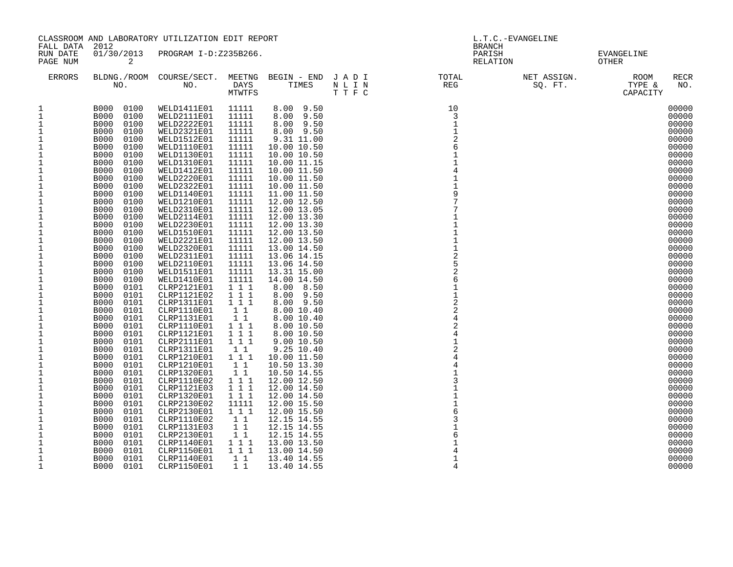|                                   | CLASSROOM AND LABORATORY UTILIZATION EDIT REPORT |                                 |                |                            |                                                                                                                | L.T.C.-EVANGELINE            |                        |                                                  |  |
|-----------------------------------|--------------------------------------------------|---------------------------------|----------------|----------------------------|----------------------------------------------------------------------------------------------------------------|------------------------------|------------------------|--------------------------------------------------|--|
| FALL DATA<br>RUN DATE<br>PAGE NUM | 2012<br>01/30/2013<br>2                          | PROGRAM I-D:Z235B266.           |                |                            |                                                                                                                | BRANCH<br>PARISH<br>RELATION |                        | EVANGELINE<br>OTHER                              |  |
| <b>ERRORS</b>                     | NO.                                              | BLDNG./ROOM COURSE/SECT.<br>NO. |                |                            | MEETNG BEGIN – END JADI – TOTAL DAYS – TIMES – NLIN – NATURE – TOTAL – TOTAL – TOTAL – THE SUMPLE – THE SUMPLE |                              | NET ASSIGN.<br>SQ. FT. | <b>RECR</b><br>ROOM<br>TYPE &<br>NO.<br>CAPACITY |  |
| 1                                 | <b>B000</b><br>0100                              | WELD1411E01                     | 11111          | 8.00 9.50                  |                                                                                                                | 10                           |                        | 00000                                            |  |
| $\mathbf{1}$                      | <b>B000</b><br>0100                              | WELD2111E01                     | 11111          | 8.00 9.50                  |                                                                                                                | 3                            |                        | 00000                                            |  |
| $\mathbf{1}$                      | <b>B000</b><br>0100                              | WELD2222E01                     | 11111          | 8.00 9.50                  |                                                                                                                | $\mathbf{1}$                 |                        | 00000                                            |  |
| $\mathbf{1}$                      | <b>B000</b><br>0100                              | WELD2321E01                     | 11111          | $8.00$ $9.50$              |                                                                                                                | $\mathbf{1}$                 |                        | 00000                                            |  |
| $1\,$                             | 0100<br><b>B000</b>                              | WELD1512E01                     | 11111          | 9.31 11.00                 |                                                                                                                | $\sqrt{2}$                   |                        | 00000                                            |  |
| $\mathbf 1$                       | 0100<br><b>B000</b>                              | WELD1110E01                     | 11111          | 10.00 10.50                |                                                                                                                | 6<br>$\mathbf{1}$            |                        | 00000                                            |  |
| $\mathbf{1}$<br>$1\,$             | <b>B000</b><br>0100<br>0100<br><b>B000</b>       | WELD1130E01<br>WELD1310E01      | 11111<br>11111 | 10.00 10.50<br>10.00 11.15 |                                                                                                                |                              |                        | 00000<br>00000                                   |  |
| $\mathbf{1}$                      | <b>B000</b><br>0100                              | WELD1412E01                     | 11111          | 10.00 11.50                |                                                                                                                | $\overline{4}$               |                        | 00000                                            |  |
| $1\,$                             | 0100<br><b>B000</b>                              | WELD2220E01                     | 11111          | 10.00 11.50                |                                                                                                                |                              |                        | 00000                                            |  |
| $1\,$                             | 0100<br><b>B000</b>                              | WELD2322E01                     | 11111          | 10.00 11.50                |                                                                                                                |                              |                        | 00000                                            |  |
| $\mathbf{1}$                      | <b>B000</b><br>0100                              | WELD1140E01                     | 11111          | 11.00 11.50                |                                                                                                                | 9                            |                        | 00000                                            |  |
| $1\,$                             | <b>B000</b><br>0100                              | WELD1210E01                     | 11111          | 12.00 12.50                |                                                                                                                | 7                            |                        | 00000                                            |  |
| $1\,$                             | <b>B000</b><br>0100                              | WELD2310E01                     | 11111          | 12.00 13.05                |                                                                                                                | 7                            |                        | 00000                                            |  |
| $\mathbf{1}$                      | <b>B000</b><br>0100                              | WELD2114E01                     | 11111          | 12.00 13.30                |                                                                                                                |                              |                        | 00000                                            |  |
| 1                                 | <b>B000</b><br>0100                              | WELD2230E01                     | 11111          | 12.00 13.30                |                                                                                                                |                              |                        | 00000                                            |  |
| $\mathbf{1}$                      | <b>B000</b><br>0100                              | WELD1510E01                     | 11111          | 12.00 13.50                |                                                                                                                |                              |                        | 00000                                            |  |
| $\mathbf{1}$<br>$\mathbf{1}$      | <b>B000</b><br>0100<br>B000<br>0100              | WELD2221E01<br>WELD2320E01      | 11111<br>11111 | 12.00 13.50<br>13.00 14.50 |                                                                                                                |                              |                        | 00000<br>00000                                   |  |
| $\mathbf{1}$                      | <b>B000</b><br>0100                              | WELD2311E01                     | 11111          | 13.06 14.15                |                                                                                                                | $\overline{2}$               |                        | 00000                                            |  |
| 1                                 | <b>B000</b><br>0100                              | WELD2110E01                     | 11111          | 13.06 14.50                |                                                                                                                |                              |                        | 00000                                            |  |
| $\mathbf{1}$                      | <b>B000</b><br>0100                              | WELD1511E01                     | 11111          | 13.31 15.00                |                                                                                                                | $\overline{a}$               |                        | 00000                                            |  |
| $\mathbf{1}$                      | <b>B000</b><br>0100                              | WELD1410E01                     | 11111          | 14.00 14.50                |                                                                                                                | 6                            |                        | 00000                                            |  |
| 1                                 | <b>B000</b><br>0101                              | CLRP2121E01                     | 111            | 8.00 8.50                  |                                                                                                                |                              |                        | 00000                                            |  |
| $\frac{1}{1}$                     | <b>B000</b><br>0101                              | CLRP1121E02                     | 111            | $8.00$ $9.50$              |                                                                                                                |                              |                        | 00000                                            |  |
|                                   | B000<br>0101                                     | CLRP1311E01                     | 1 1 1          | 8.00 9.50                  |                                                                                                                | $\overline{a}$               |                        | 00000                                            |  |
| $\mathbf 1$                       | 0101<br><b>B000</b>                              | CLRP1110E01                     | 11             | 8.00 10.40                 |                                                                                                                | $\overline{a}$               |                        | 00000                                            |  |
| $\mathbf 1$                       | <b>B000</b><br>0101                              | CLRP1131E01                     | 1 1            | 8.00 10.40                 |                                                                                                                | $\overline{4}$               |                        | 00000                                            |  |
| $\mathbf 1$                       | <b>B000</b><br>0101                              | CLRP1110E01                     | 1 1 1          | 8.00 10.50                 |                                                                                                                | $\sqrt{2}$                   |                        | 00000                                            |  |
| $\mathbf{1}$<br>$\mathbf{1}$      | <b>B000</b><br>0101<br><b>B000</b><br>0101       | CLRP1121E01<br>CLRP2111E01      | 1 1 1<br>1 1 1 | 8.00 10.50<br>9.00 10.50   |                                                                                                                | $\mathbf{1}$                 |                        | 00000<br>00000                                   |  |
| $1\,$                             | <b>B000</b><br>0101                              | CLRP1311E01                     | 11             | 9.25 10.40                 |                                                                                                                | $\overline{2}$               |                        | 00000                                            |  |
| $\mathbf 1$                       | 0101<br><b>B000</b>                              | CLRP1210E01                     | 1 1 1          | 10.00 11.50                |                                                                                                                | $\overline{4}$               |                        | 00000                                            |  |
| $\mathbf{1}$                      | <b>B000</b><br>0101                              | CLRP1210E01                     | 1 1            | 10.50 13.30                |                                                                                                                | $\overline{4}$               |                        | 00000                                            |  |
| $\mathbf{1}$                      | <b>B000</b><br>0101                              | CLRP1320E01                     | 1 1            | 10.50 14.55                |                                                                                                                | $\mathbf{1}$                 |                        | 00000                                            |  |
| $\mathbf{1}$                      | 0101<br><b>B000</b>                              | CLRP1110E02                     | 1 1 1          | 12.00 12.50                |                                                                                                                |                              |                        | 00000                                            |  |
| $1\,$                             | <b>B000</b><br>0101                              | CLRP1121E03                     | 1 1 1          | 12.00 14.50                |                                                                                                                |                              |                        | 00000                                            |  |
| $\mathbf{1}$                      | <b>B000</b><br>0101                              | CLRP1320E01                     | 1 1 1          | 12.00 14.50                |                                                                                                                |                              |                        | 00000                                            |  |
| $\mathbf{1}$                      | 0101<br><b>B000</b>                              | CLRP2130E02                     | 11111          | 12.00 15.50                |                                                                                                                |                              |                        | 00000                                            |  |
| $\mathbf{1}$                      | <b>B000</b><br>0101                              | CLRP2130E01                     | 1 1 1          | 12.00 15.50                |                                                                                                                | 6                            |                        | 00000                                            |  |
| $\mathbf{1}$                      | <b>B000</b><br>0101                              | CLRP1110E02                     | 1 1            | 12.15 14.55                |                                                                                                                | 3                            |                        | 00000                                            |  |
| 1                                 | <b>B000</b><br>0101                              | CLRP1131E03                     | 1 1            | 12.15 14.55                |                                                                                                                | 6                            |                        | 00000<br>00000                                   |  |
| $\mathbf{1}$<br>$\mathbf{1}$      | <b>B000</b><br>0101<br><b>B000</b><br>0101       | CLRP2130E01<br>CLRP1140E01      | 1 1<br>111     | 12.15 14.55<br>13.00 13.50 |                                                                                                                |                              |                        | 00000                                            |  |
| $1\,$                             | 0101<br>B000                                     | CLRP1150E01                     | 111            | 13.00 14.50                |                                                                                                                |                              |                        | 00000                                            |  |
| $\mathbf{1}$                      | <b>B000</b><br>0101                              | CLRP1140E01                     | 11             | 13.40 14.55                |                                                                                                                | 1                            |                        | 00000                                            |  |
| $\mathbf{1}$                      | B000<br>0101                                     | <b>CLRP1150E01</b>              | 11             | 13.40 14.55                |                                                                                                                |                              |                        | 00000                                            |  |